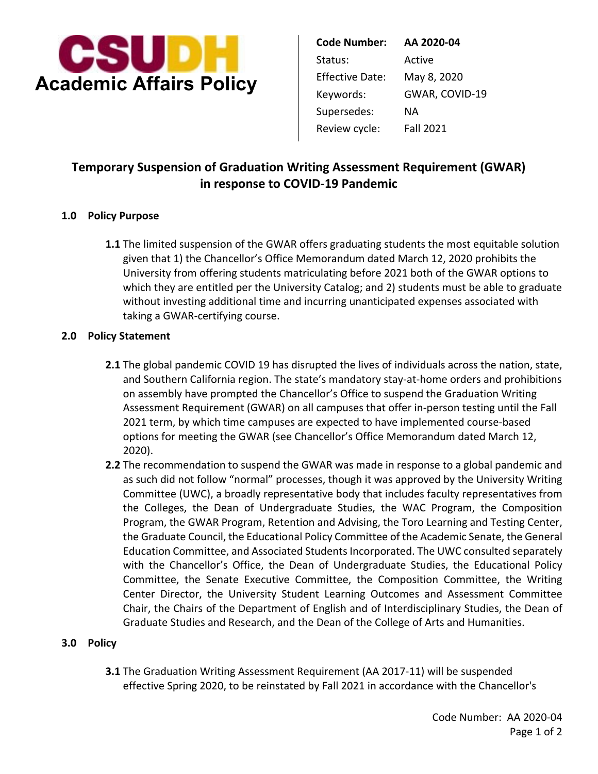

| <b>Code Number:</b>    | AA 2020-04       |
|------------------------|------------------|
| Status:                | Active           |
| <b>Effective Date:</b> | May 8, 2020      |
| Keywords:              | GWAR, COVID-19   |
| Supersedes:            | ΝA               |
| Review cycle:          | <b>Fall 2021</b> |
|                        |                  |

# **in response to COVID-19 Pandemic Temporary Suspension of Graduation Writing Assessment Requirement (GWAR)**

### **1.0 Policy Purpose**

 given that 1) the Chancellor's Office Memorandum dated March 12, 2020 prohibits the taking a GWAR-certifying course. **1.1** The limited suspension of the GWAR offers graduating students the most equitable solution University from offering students matriculating before 2021 both of the GWAR options to which they are entitled per the University Catalog; and 2) students must be able to graduate without investing additional time and incurring unanticipated expenses associated with

#### **2.0 Policy Statement**

- **2.1** The global pandemic COVID 19 has disrupted the lives of individuals across the nation, state, and Southern California region. The state's mandatory stay-at-home orders and prohibitions on assembly have prompted the Chancellor's Office to suspend the Graduation Writing Assessment Requirement (GWAR) on all campuses that offer in-person testing until the Fall 2021 term, by which time campuses are expected to have implemented course-based options for meeting the GWAR (see Chancellor's Office Memorandum dated March 12, 2020).
- **2.2** The recommendation to suspend the GWAR was made in response to a global pandemic and as such did not follow "normal" processes, though it was approved by the University Writing Committee (UWC), a broadly representative body that includes faculty representatives from the Colleges, the Dean of Undergraduate Studies, the WAC Program, the Composition Program, the GWAR Program, Retention and Advising, the Toro Learning and Testing Center, the Graduate Council, the Educational Policy Committee of the Academic Senate, the General Education Committee, and Associated Students Incorporated. The UWC consulted separately with the Chancellor's Office, the Dean of Undergraduate Studies, the Educational Policy Committee, the Senate Executive Committee, the Composition Committee, the Writing Center Director, the University Student Learning Outcomes and Assessment Committee Chair, the Chairs of the Department of English and of Interdisciplinary Studies, the Dean of Graduate Studies and Research, and the Dean of the College of Arts and Humanities.

#### **3.0 Policy**

**3.1** The Graduation Writing Assessment Requirement (AA 2017-11) will be suspended effective Spring 2020, to be reinstated by Fall 2021 in accordance with the Chancellor's